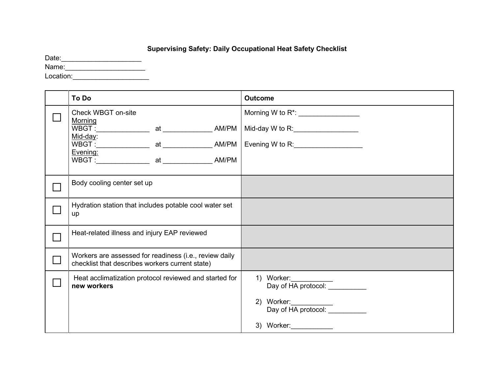## **Supervising Safety: Daily Occupational Heat Safety Checklist**

Date:\_\_\_\_\_\_\_\_\_\_\_\_\_\_\_\_\_\_\_\_\_

Name:\_\_\_\_\_\_\_\_\_\_\_\_\_\_\_\_\_\_\_\_\_

Location:\_\_\_\_\_\_\_\_\_\_\_\_\_\_\_\_\_\_\_\_

| <b>To Do</b>                                                                                              | <b>Outcome</b>                                                                        |
|-----------------------------------------------------------------------------------------------------------|---------------------------------------------------------------------------------------|
| Check WBGT on-site<br>Morning<br>Mid-day:<br><u>Evening:</u>                                              | Morning W to R <sup>*</sup> : _________________<br>Mid-day W to R: __________________ |
| Body cooling center set up                                                                                |                                                                                       |
| Hydration station that includes potable cool water set<br>up                                              |                                                                                       |
| Heat-related illness and injury EAP reviewed                                                              |                                                                                       |
| Workers are assessed for readiness (i.e., review daily<br>checklist that describes workers current state) |                                                                                       |
| Heat acclimatization protocol reviewed and started for<br>new workers                                     | 1) Worker:<br>Day of HA protocol:<br>2) Worker:<br>Day of HA protocol:                |